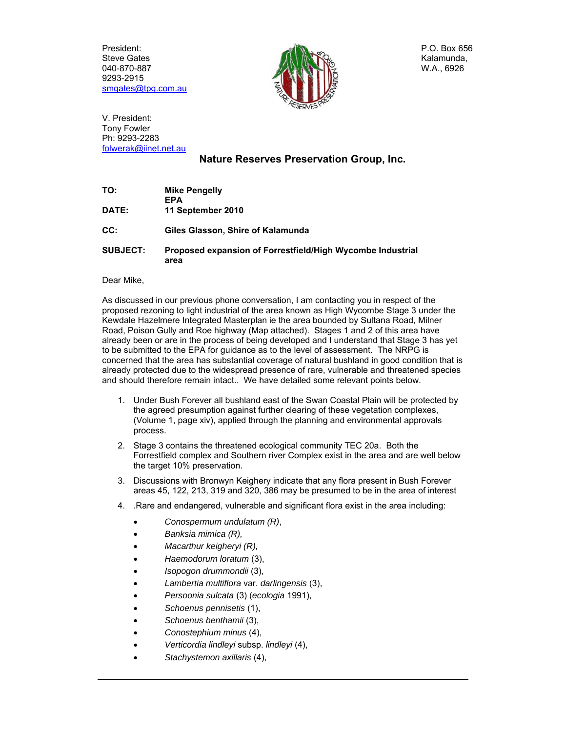President: Steve Gates 040-870-887 9293-2915 smgates@tpg.com.au



P.O. Box 656 Kalamunda, W.A., 6926

V. President: Tony Fowler Ph: 9293-2283 folwerak@iinet.net.au

## **Nature Reserves Preservation Group, Inc.**

| TO:             | <b>Mike Pengelly</b><br><b>EPA</b>                                 |
|-----------------|--------------------------------------------------------------------|
| <b>DATE:</b>    | 11 September 2010                                                  |
| CC:             | Giles Glasson, Shire of Kalamunda                                  |
| <b>SUBJECT:</b> | Proposed expansion of Forrestfield/High Wycombe Industrial<br>area |

Dear Mike,

As discussed in our previous phone conversation, I am contacting you in respect of the proposed rezoning to light industrial of the area known as High Wycombe Stage 3 under the Kewdale Hazelmere Integrated Masterplan ie the area bounded by Sultana Road, Milner Road, Poison Gully and Roe highway (Map attached). Stages 1 and 2 of this area have already been or are in the process of being developed and I understand that Stage 3 has yet to be submitted to the EPA for guidance as to the level of assessment. The NRPG is concerned that the area has substantial coverage of natural bushland in good condition that is already protected due to the widespread presence of rare, vulnerable and threatened species and should therefore remain intact.. We have detailed some relevant points below.

- 1. Under Bush Forever all bushland east of the Swan Coastal Plain will be protected by the agreed presumption against further clearing of these vegetation complexes, (Volume 1, page xiv), applied through the planning and environmental approvals process.
- 2. Stage 3 contains the threatened ecological community TEC 20a. Both the Forrestfield complex and Southern river Complex exist in the area and are well below the target 10% preservation.
- 3. Discussions with Bronwyn Keighery indicate that any flora present in Bush Forever areas 45, 122, 213, 319 and 320, 386 may be presumed to be in the area of interest
- 4. .Rare and endangered, vulnerable and significant flora exist in the area including:
	- *Conospermum undulatum (R)*,
	- *Banksia mimica (R),*
	- *Macarthur keigheryi (R),*
	- *Haemodorum loratum* (3),
	- *Isopogon drummondii* (3),
	- *Lambertia multiflora* var. *darlingensis* (3),
	- *Persoonia sulcata* (3) (*ecologia* 1991),
	- *Schoenus pennisetis* (1),
	- *Schoenus benthamii* (3),
	- *Conostephium minus* (4),
	- *Verticordia lindleyi* subsp. *lindleyi* (4),
	- *Stachystemon axillaris* (4),